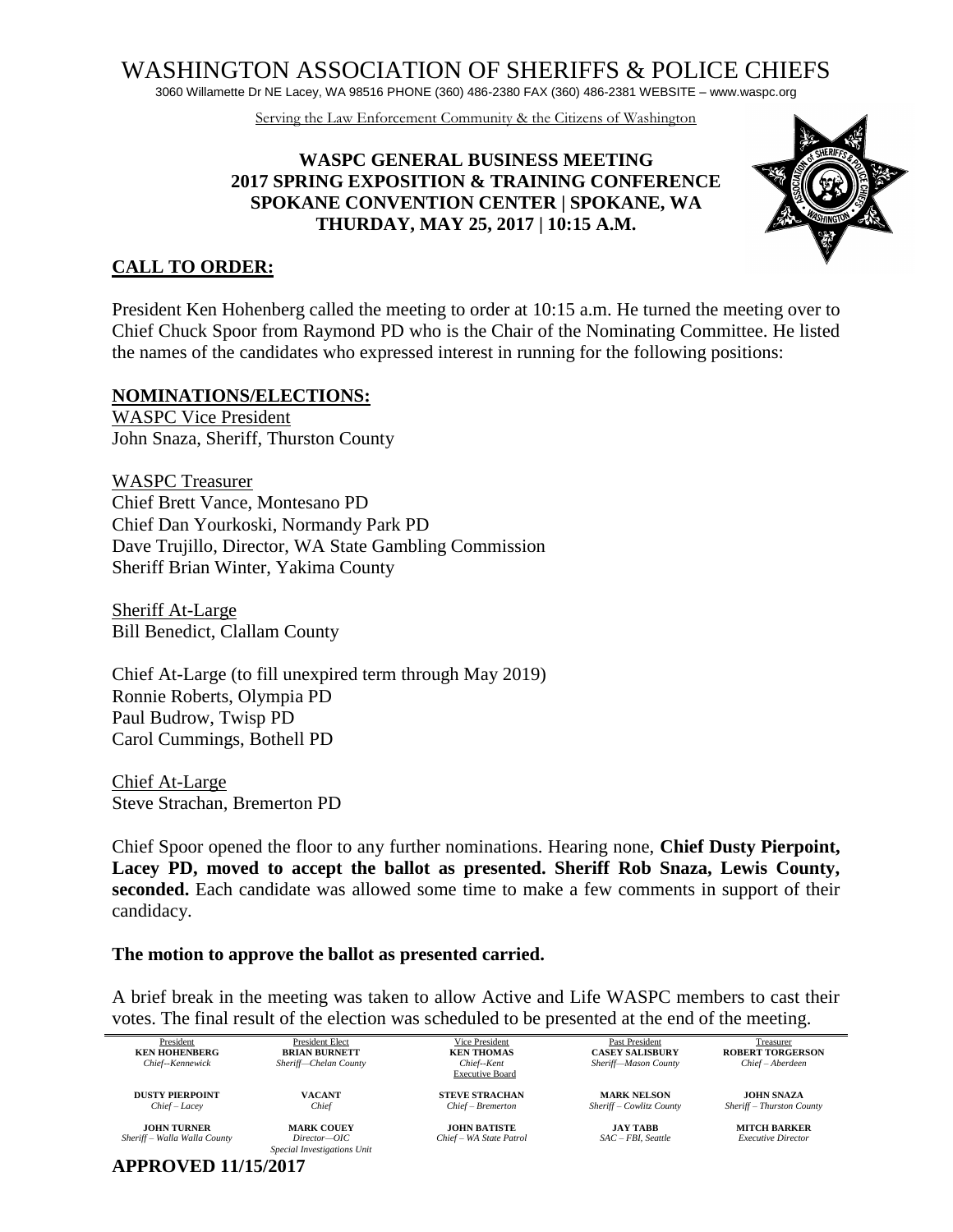WASHINGTON ASSOCIATION OF SHERIFFS & POLICE CHIEFS

3060 Willamette Dr NE Lacey, WA 98516 PHONE (360) 486-2380 FAX (360) 486-2381 WEBSITE – www.waspc.org

Serving the Law Enforcement Community & the Citizens of Washington

#### **WASPC GENERAL BUSINESS MEETING 2017 SPRING EXPOSITION & TRAINING CONFERENCE SPOKANE CONVENTION CENTER | SPOKANE, WA THURDAY, MAY 25, 2017 | 10:15 A.M.**



### **CALL TO ORDER:**

President Ken Hohenberg called the meeting to order at 10:15 a.m. He turned the meeting over to Chief Chuck Spoor from Raymond PD who is the Chair of the Nominating Committee. He listed the names of the candidates who expressed interest in running for the following positions:

#### **NOMINATIONS/ELECTIONS:**

WASPC Vice President John Snaza, Sheriff, Thurston County

WASPC Treasurer Chief Brett Vance, Montesano PD Chief Dan Yourkoski, Normandy Park PD Dave Trujillo, Director, WA State Gambling Commission Sheriff Brian Winter, Yakima County

Sheriff At-Large Bill Benedict, Clallam County

Chief At-Large (to fill unexpired term through May 2019) Ronnie Roberts, Olympia PD Paul Budrow, Twisp PD Carol Cummings, Bothell PD

Chief At-Large Steve Strachan, Bremerton PD

Chief Spoor opened the floor to any further nominations. Hearing none, **Chief Dusty Pierpoint, Lacey PD, moved to accept the ballot as presented. Sheriff Rob Snaza, Lewis County, seconded.** Each candidate was allowed some time to make a few comments in support of their candidacy.

#### **The motion to approve the ballot as presented carried.**

A brief break in the meeting was taken to allow Active and Life WASPC members to cast their votes. The final result of the election was scheduled to be presented at the end of the meeting.

| President                    | <b>President Elect</b>      | Vice President          | Past President           | Treasurer                 |
|------------------------------|-----------------------------|-------------------------|--------------------------|---------------------------|
| <b>KEN HOHENBERG</b>         | <b>BRIAN BURNETT</b>        | <b>KEN THOMAS</b>       | <b>CASEY SALISBURY</b>   | <b>ROBERT TORGERSON</b>   |
| Chief--Kennewick             | Sheriff-Chelan County       | Chief--Kent             | Sheriff-Mason County     | Chief – Aberdeen          |
|                              |                             | <b>Executive Board</b>  |                          |                           |
| <b>DUSTY PIERPOINT</b>       | <b>VACANT</b>               | <b>STEVE STRACHAN</b>   | <b>MARK NELSON</b>       | <b>JOHN SNAZA</b>         |
| Chief - Lacey                | Chief                       | Chief - Bremerton       | Sheriff - Cowlitz County | Sheriff - Thurston County |
|                              |                             |                         |                          |                           |
| <b>JOHN TURNER</b>           | <b>MARK COUEY</b>           | <b>JOHN BATISTE</b>     | JAY TABB                 | <b>MITCH BARKER</b>       |
| Sheriff - Walla Walla County | $Direction-OIC$             | Chief - WA State Patrol | $SAC - FBL$ Seattle      | <b>Executive Director</b> |
|                              | Special Investigations Unit |                         |                          |                           |
| <b>APPROVED 11/15/2017</b>   |                             |                         |                          |                           |
|                              |                             |                         |                          |                           |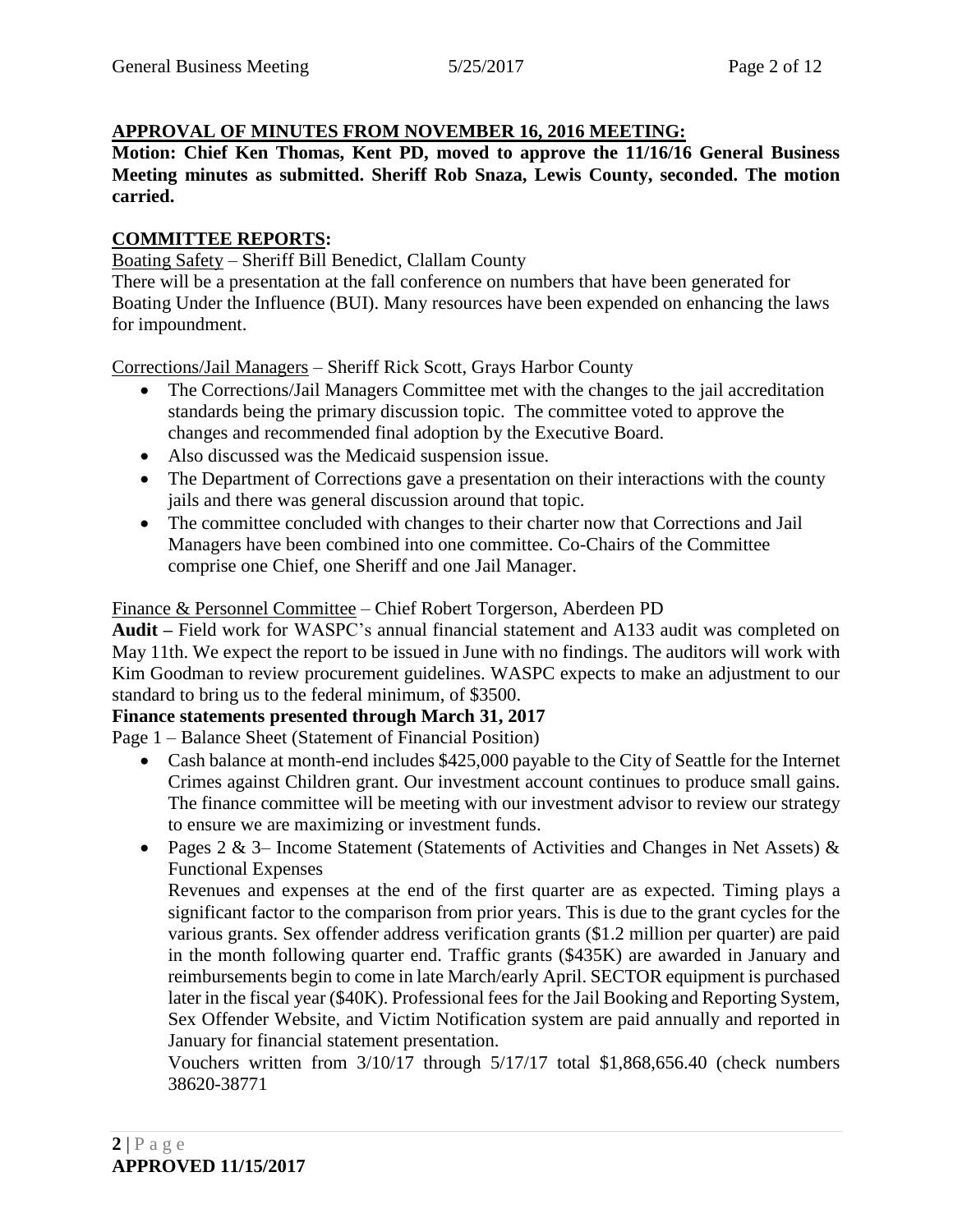### **APPROVAL OF MINUTES FROM NOVEMBER 16, 2016 MEETING:**

**Motion: Chief Ken Thomas, Kent PD, moved to approve the 11/16/16 General Business Meeting minutes as submitted. Sheriff Rob Snaza, Lewis County, seconded. The motion carried.**

#### **COMMITTEE REPORTS:**

Boating Safety – Sheriff Bill Benedict, Clallam County

There will be a presentation at the fall conference on numbers that have been generated for Boating Under the Influence (BUI). Many resources have been expended on enhancing the laws for impoundment.

Corrections/Jail Managers – Sheriff Rick Scott, Grays Harbor County

- The Corrections/Jail Managers Committee met with the changes to the jail accreditation standards being the primary discussion topic. The committee voted to approve the changes and recommended final adoption by the Executive Board.
- Also discussed was the Medicaid suspension issue.
- The Department of Corrections gave a presentation on their interactions with the county jails and there was general discussion around that topic.
- The committee concluded with changes to their charter now that Corrections and Jail Managers have been combined into one committee. Co-Chairs of the Committee comprise one Chief, one Sheriff and one Jail Manager.

### Finance & Personnel Committee – Chief Robert Torgerson, Aberdeen PD

**Audit –** Field work for WASPC's annual financial statement and A133 audit was completed on May 11th. We expect the report to be issued in June with no findings. The auditors will work with Kim Goodman to review procurement guidelines. WASPC expects to make an adjustment to our standard to bring us to the federal minimum, of \$3500.

### **Finance statements presented through March 31, 2017**

Page 1 – Balance Sheet (Statement of Financial Position)

- Cash balance at month-end includes \$425,000 payable to the City of Seattle for the Internet Crimes against Children grant. Our investment account continues to produce small gains. The finance committee will be meeting with our investment advisor to review our strategy to ensure we are maximizing or investment funds.
- Pages 2 & 3– Income Statement (Statements of Activities and Changes in Net Assets)  $\&$ Functional Expenses

Revenues and expenses at the end of the first quarter are as expected. Timing plays a significant factor to the comparison from prior years. This is due to the grant cycles for the various grants. Sex offender address verification grants (\$1.2 million per quarter) are paid in the month following quarter end. Traffic grants (\$435K) are awarded in January and reimbursements begin to come in late March/early April. SECTOR equipment is purchased later in the fiscal year (\$40K). Professional fees for the Jail Booking and Reporting System, Sex Offender Website, and Victim Notification system are paid annually and reported in January for financial statement presentation.

Vouchers written from 3/10/17 through 5/17/17 total \$1,868,656.40 (check numbers 38620-38771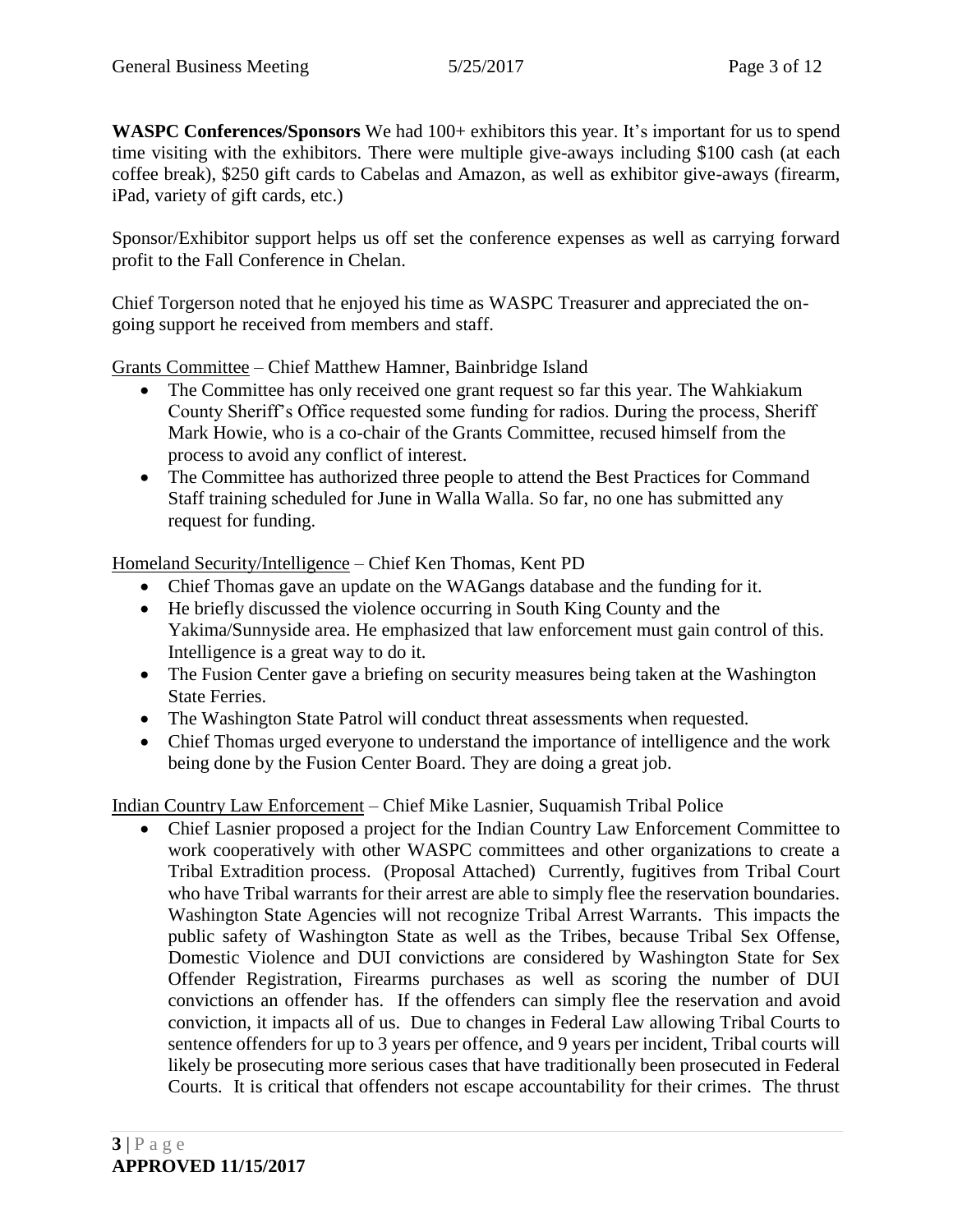**WASPC Conferences/Sponsors** We had  $100+$  exhibitors this year. It's important for us to spend time visiting with the exhibitors. There were multiple give-aways including \$100 cash (at each coffee break), \$250 gift cards to Cabelas and Amazon, as well as exhibitor give-aways (firearm, iPad, variety of gift cards, etc.)

Sponsor/Exhibitor support helps us off set the conference expenses as well as carrying forward profit to the Fall Conference in Chelan.

Chief Torgerson noted that he enjoyed his time as WASPC Treasurer and appreciated the ongoing support he received from members and staff.

Grants Committee – Chief Matthew Hamner, Bainbridge Island

- The Committee has only received one grant request so far this year. The Wahkiakum County Sheriff's Office requested some funding for radios. During the process, Sheriff Mark Howie, who is a co-chair of the Grants Committee, recused himself from the process to avoid any conflict of interest.
- The Committee has authorized three people to attend the Best Practices for Command Staff training scheduled for June in Walla Walla. So far, no one has submitted any request for funding.

Homeland Security/Intelligence – Chief Ken Thomas, Kent PD

- Chief Thomas gave an update on the WAGangs database and the funding for it.
- He briefly discussed the violence occurring in South King County and the Yakima/Sunnyside area. He emphasized that law enforcement must gain control of this. Intelligence is a great way to do it.
- The Fusion Center gave a briefing on security measures being taken at the Washington State Ferries.
- The Washington State Patrol will conduct threat assessments when requested.
- Chief Thomas urged everyone to understand the importance of intelligence and the work being done by the Fusion Center Board. They are doing a great job.

Indian Country Law Enforcement – Chief Mike Lasnier, Suquamish Tribal Police

 Chief Lasnier proposed a project for the Indian Country Law Enforcement Committee to work cooperatively with other WASPC committees and other organizations to create a Tribal Extradition process. (Proposal Attached) Currently, fugitives from Tribal Court who have Tribal warrants for their arrest are able to simply flee the reservation boundaries. Washington State Agencies will not recognize Tribal Arrest Warrants. This impacts the public safety of Washington State as well as the Tribes, because Tribal Sex Offense, Domestic Violence and DUI convictions are considered by Washington State for Sex Offender Registration, Firearms purchases as well as scoring the number of DUI convictions an offender has. If the offenders can simply flee the reservation and avoid conviction, it impacts all of us. Due to changes in Federal Law allowing Tribal Courts to sentence offenders for up to 3 years per offence, and 9 years per incident, Tribal courts will likely be prosecuting more serious cases that have traditionally been prosecuted in Federal Courts. It is critical that offenders not escape accountability for their crimes. The thrust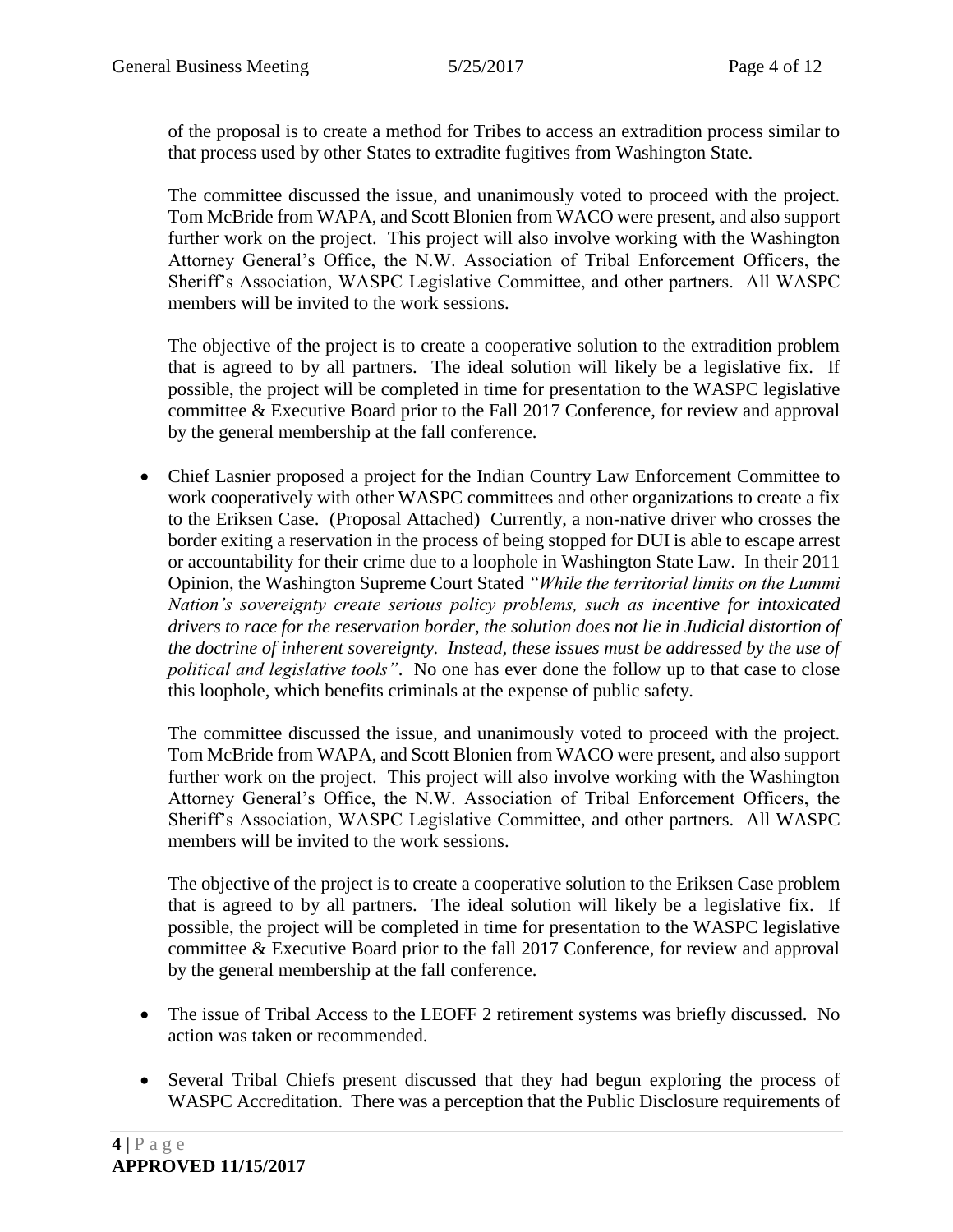of the proposal is to create a method for Tribes to access an extradition process similar to that process used by other States to extradite fugitives from Washington State.

The committee discussed the issue, and unanimously voted to proceed with the project. Tom McBride from WAPA, and Scott Blonien from WACO were present, and also support further work on the project. This project will also involve working with the Washington Attorney General's Office, the N.W. Association of Tribal Enforcement Officers, the Sheriff's Association, WASPC Legislative Committee, and other partners. All WASPC members will be invited to the work sessions.

The objective of the project is to create a cooperative solution to the extradition problem that is agreed to by all partners. The ideal solution will likely be a legislative fix. If possible, the project will be completed in time for presentation to the WASPC legislative committee & Executive Board prior to the Fall 2017 Conference, for review and approval by the general membership at the fall conference.

 Chief Lasnier proposed a project for the Indian Country Law Enforcement Committee to work cooperatively with other WASPC committees and other organizations to create a fix to the Eriksen Case. (Proposal Attached) Currently, a non-native driver who crosses the border exiting a reservation in the process of being stopped for DUI is able to escape arrest or accountability for their crime due to a loophole in Washington State Law. In their 2011 Opinion, the Washington Supreme Court Stated *"While the territorial limits on the Lummi Nation's sovereignty create serious policy problems, such as incentive for intoxicated drivers to race for the reservation border, the solution does not lie in Judicial distortion of the doctrine of inherent sovereignty. Instead, these issues must be addressed by the use of political and legislative tools"*. No one has ever done the follow up to that case to close this loophole, which benefits criminals at the expense of public safety.

The committee discussed the issue, and unanimously voted to proceed with the project. Tom McBride from WAPA, and Scott Blonien from WACO were present, and also support further work on the project. This project will also involve working with the Washington Attorney General's Office, the N.W. Association of Tribal Enforcement Officers, the Sheriff's Association, WASPC Legislative Committee, and other partners. All WASPC members will be invited to the work sessions.

The objective of the project is to create a cooperative solution to the Eriksen Case problem that is agreed to by all partners. The ideal solution will likely be a legislative fix. If possible, the project will be completed in time for presentation to the WASPC legislative committee & Executive Board prior to the fall 2017 Conference, for review and approval by the general membership at the fall conference.

- The issue of Tribal Access to the LEOFF 2 retirement systems was briefly discussed. No action was taken or recommended.
- Several Tribal Chiefs present discussed that they had begun exploring the process of WASPC Accreditation. There was a perception that the Public Disclosure requirements of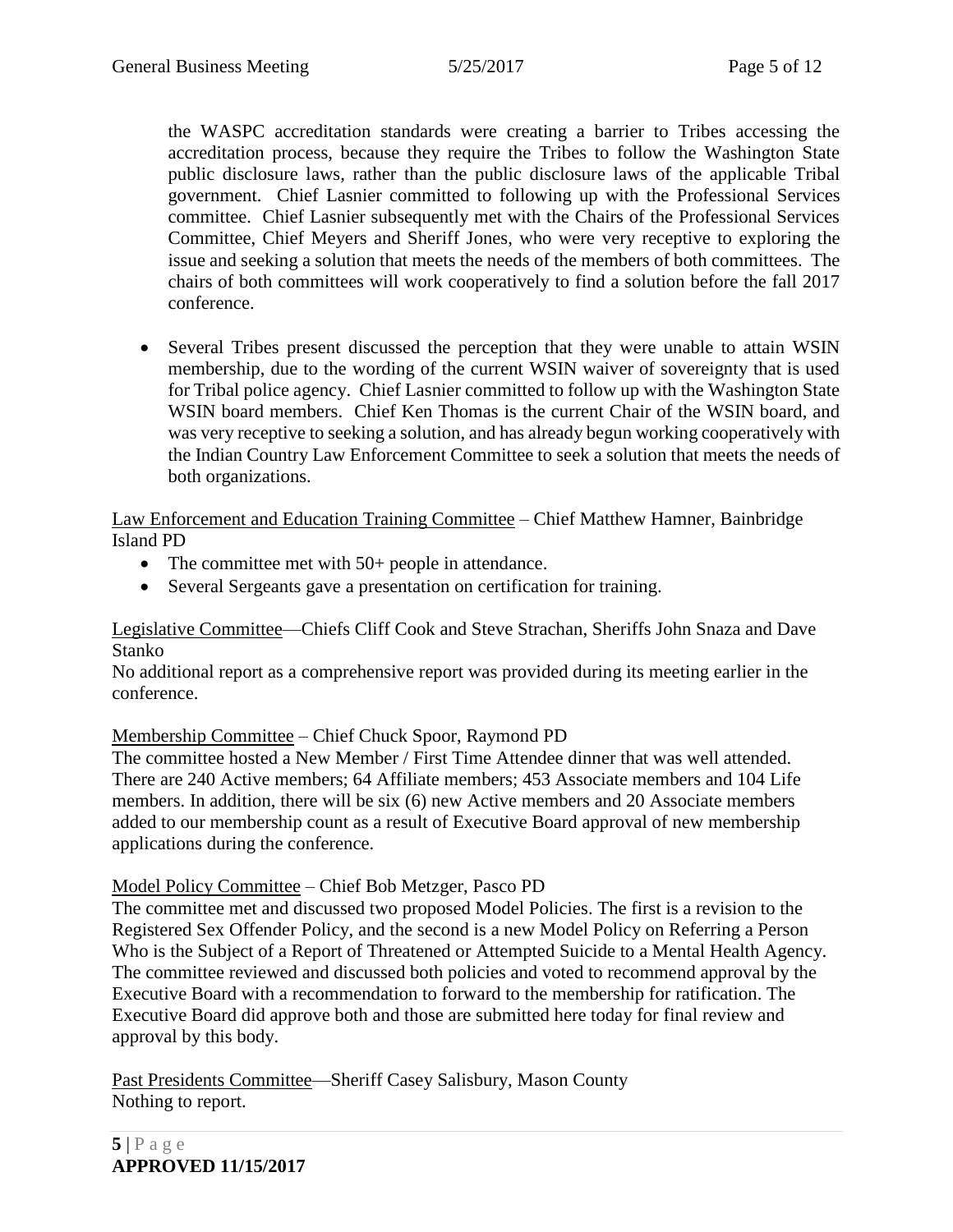the WASPC accreditation standards were creating a barrier to Tribes accessing the accreditation process, because they require the Tribes to follow the Washington State public disclosure laws, rather than the public disclosure laws of the applicable Tribal government. Chief Lasnier committed to following up with the Professional Services committee. Chief Lasnier subsequently met with the Chairs of the Professional Services Committee, Chief Meyers and Sheriff Jones, who were very receptive to exploring the issue and seeking a solution that meets the needs of the members of both committees. The chairs of both committees will work cooperatively to find a solution before the fall 2017 conference.

 Several Tribes present discussed the perception that they were unable to attain WSIN membership, due to the wording of the current WSIN waiver of sovereignty that is used for Tribal police agency. Chief Lasnier committed to follow up with the Washington State WSIN board members. Chief Ken Thomas is the current Chair of the WSIN board, and was very receptive to seeking a solution, and has already begun working cooperatively with the Indian Country Law Enforcement Committee to seek a solution that meets the needs of both organizations.

Law Enforcement and Education Training Committee – Chief Matthew Hamner, Bainbridge Island PD

- The committee met with 50+ people in attendance.
- Several Sergeants gave a presentation on certification for training.

Legislative Committee—Chiefs Cliff Cook and Steve Strachan, Sheriffs John Snaza and Dave Stanko

No additional report as a comprehensive report was provided during its meeting earlier in the conference.

### Membership Committee – Chief Chuck Spoor, Raymond PD

The committee hosted a New Member / First Time Attendee dinner that was well attended. There are 240 Active members; 64 Affiliate members; 453 Associate members and 104 Life members. In addition, there will be six (6) new Active members and 20 Associate members added to our membership count as a result of Executive Board approval of new membership applications during the conference.

#### Model Policy Committee – Chief Bob Metzger, Pasco PD

The committee met and discussed two proposed Model Policies. The first is a revision to the Registered Sex Offender Policy, and the second is a new Model Policy on Referring a Person Who is the Subject of a Report of Threatened or Attempted Suicide to a Mental Health Agency. The committee reviewed and discussed both policies and voted to recommend approval by the Executive Board with a recommendation to forward to the membership for ratification. The Executive Board did approve both and those are submitted here today for final review and approval by this body.

Past Presidents Committee—Sheriff Casey Salisbury, Mason County Nothing to report.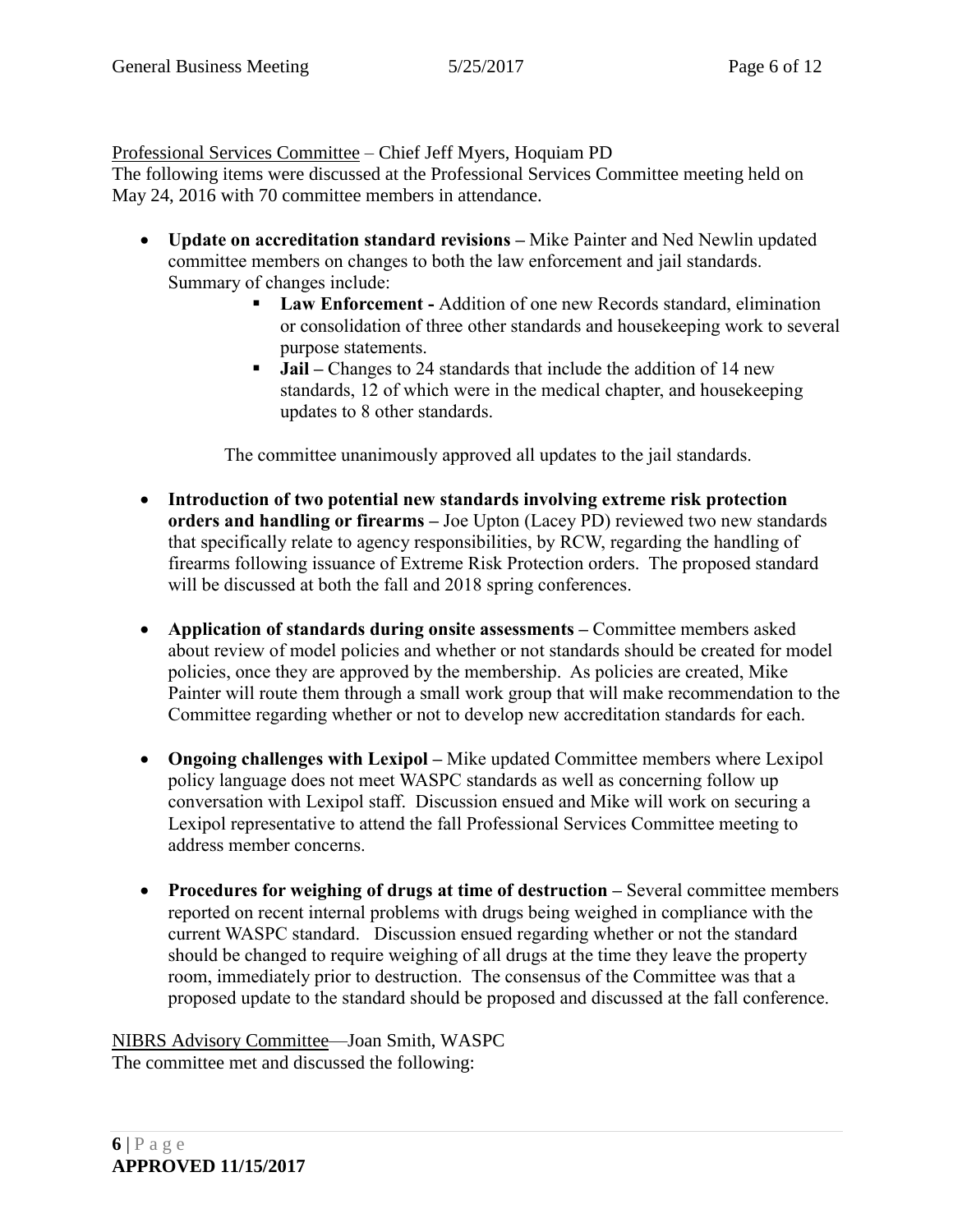Professional Services Committee – Chief Jeff Myers, Hoquiam PD

The following items were discussed at the Professional Services Committee meeting held on May 24, 2016 with 70 committee members in attendance.

- **Update on accreditation standard revisions –** Mike Painter and Ned Newlin updated committee members on changes to both the law enforcement and jail standards. Summary of changes include:
	- **Law Enforcement -** Addition of one new Records standard, elimination or consolidation of three other standards and housekeeping work to several purpose statements.
	- **Jail** Changes to 24 standards that include the addition of 14 new standards, 12 of which were in the medical chapter, and housekeeping updates to 8 other standards.

The committee unanimously approved all updates to the jail standards.

- **Introduction of two potential new standards involving extreme risk protection orders and handling or firearms –** Joe Upton (Lacey PD) reviewed two new standards that specifically relate to agency responsibilities, by RCW, regarding the handling of firearms following issuance of Extreme Risk Protection orders. The proposed standard will be discussed at both the fall and 2018 spring conferences.
- **Application of standards during onsite assessments –** Committee members asked about review of model policies and whether or not standards should be created for model policies, once they are approved by the membership. As policies are created, Mike Painter will route them through a small work group that will make recommendation to the Committee regarding whether or not to develop new accreditation standards for each.
- **Ongoing challenges with Lexipol –** Mike updated Committee members where Lexipol policy language does not meet WASPC standards as well as concerning follow up conversation with Lexipol staff. Discussion ensued and Mike will work on securing a Lexipol representative to attend the fall Professional Services Committee meeting to address member concerns.
- **Procedures for weighing of drugs at time of destruction –** Several committee members reported on recent internal problems with drugs being weighed in compliance with the current WASPC standard. Discussion ensued regarding whether or not the standard should be changed to require weighing of all drugs at the time they leave the property room, immediately prior to destruction. The consensus of the Committee was that a proposed update to the standard should be proposed and discussed at the fall conference.

NIBRS Advisory Committee—Joan Smith, WASPC The committee met and discussed the following: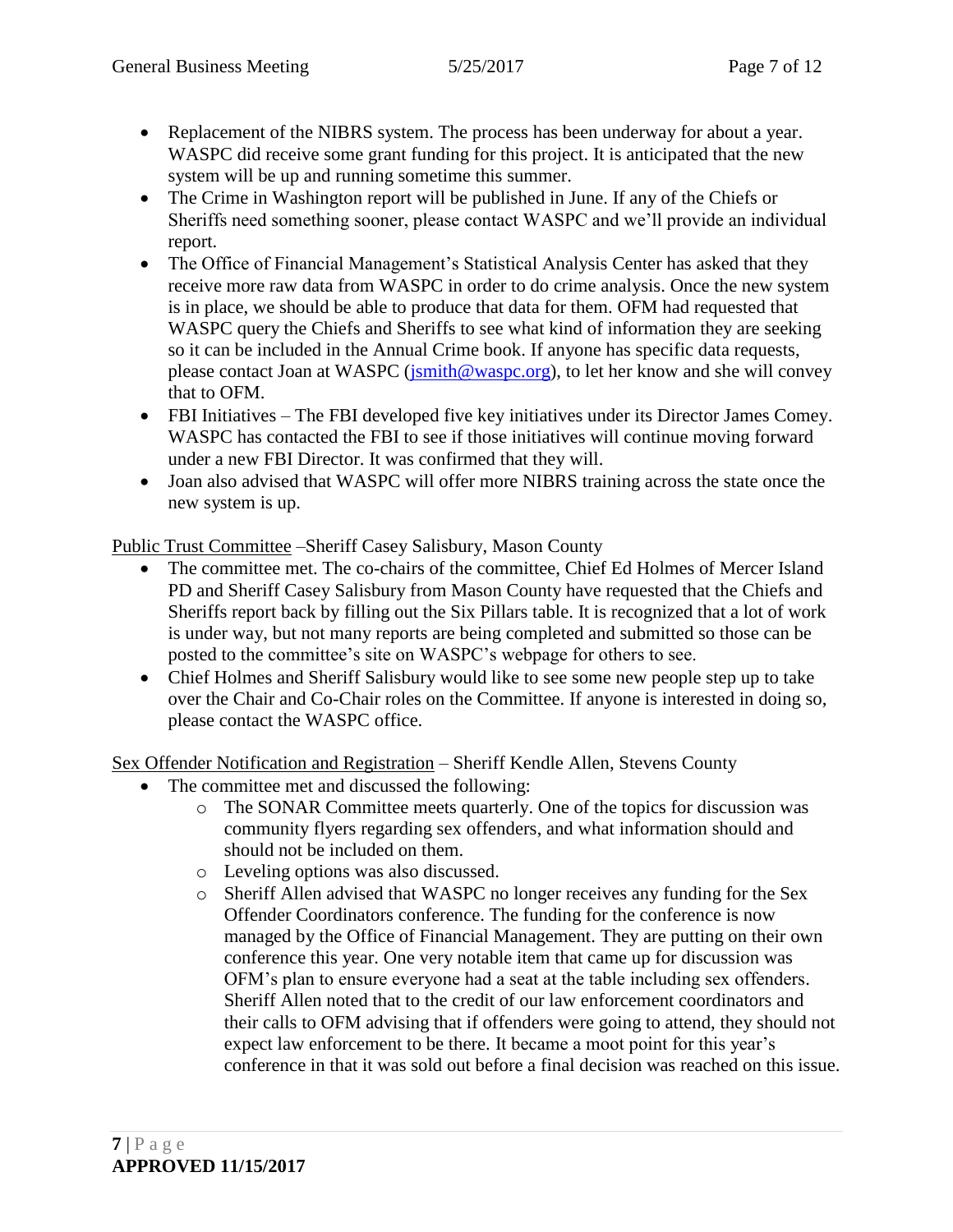- Replacement of the NIBRS system. The process has been underway for about a year. WASPC did receive some grant funding for this project. It is anticipated that the new system will be up and running sometime this summer.
- The Crime in Washington report will be published in June. If any of the Chiefs or Sheriffs need something sooner, please contact WASPC and we'll provide an individual report.
- The Office of Financial Management's Statistical Analysis Center has asked that they receive more raw data from WASPC in order to do crime analysis. Once the new system is in place, we should be able to produce that data for them. OFM had requested that WASPC query the Chiefs and Sheriffs to see what kind of information they are seeking so it can be included in the Annual Crime book. If anyone has specific data requests, please contact Joan at WASPC [\(jsmith@waspc.org\)](mailto:jsmith@waspc.org), to let her know and she will convey that to OFM.
- FBI Initiatives The FBI developed five key initiatives under its Director James Comey. WASPC has contacted the FBI to see if those initiatives will continue moving forward under a new FBI Director. It was confirmed that they will.
- Joan also advised that WASPC will offer more NIBRS training across the state once the new system is up.

Public Trust Committee –Sheriff Casey Salisbury, Mason County

- The committee met. The co-chairs of the committee, Chief Ed Holmes of Mercer Island PD and Sheriff Casey Salisbury from Mason County have requested that the Chiefs and Sheriffs report back by filling out the Six Pillars table. It is recognized that a lot of work is under way, but not many reports are being completed and submitted so those can be posted to the committee's site on WASPC's webpage for others to see.
- Chief Holmes and Sheriff Salisbury would like to see some new people step up to take over the Chair and Co-Chair roles on the Committee. If anyone is interested in doing so, please contact the WASPC office.

Sex Offender Notification and Registration – Sheriff Kendle Allen, Stevens County

- The committee met and discussed the following:
	- o The SONAR Committee meets quarterly. One of the topics for discussion was community flyers regarding sex offenders, and what information should and should not be included on them.
	- o Leveling options was also discussed.
	- o Sheriff Allen advised that WASPC no longer receives any funding for the Sex Offender Coordinators conference. The funding for the conference is now managed by the Office of Financial Management. They are putting on their own conference this year. One very notable item that came up for discussion was OFM's plan to ensure everyone had a seat at the table including sex offenders. Sheriff Allen noted that to the credit of our law enforcement coordinators and their calls to OFM advising that if offenders were going to attend, they should not expect law enforcement to be there. It became a moot point for this year's conference in that it was sold out before a final decision was reached on this issue.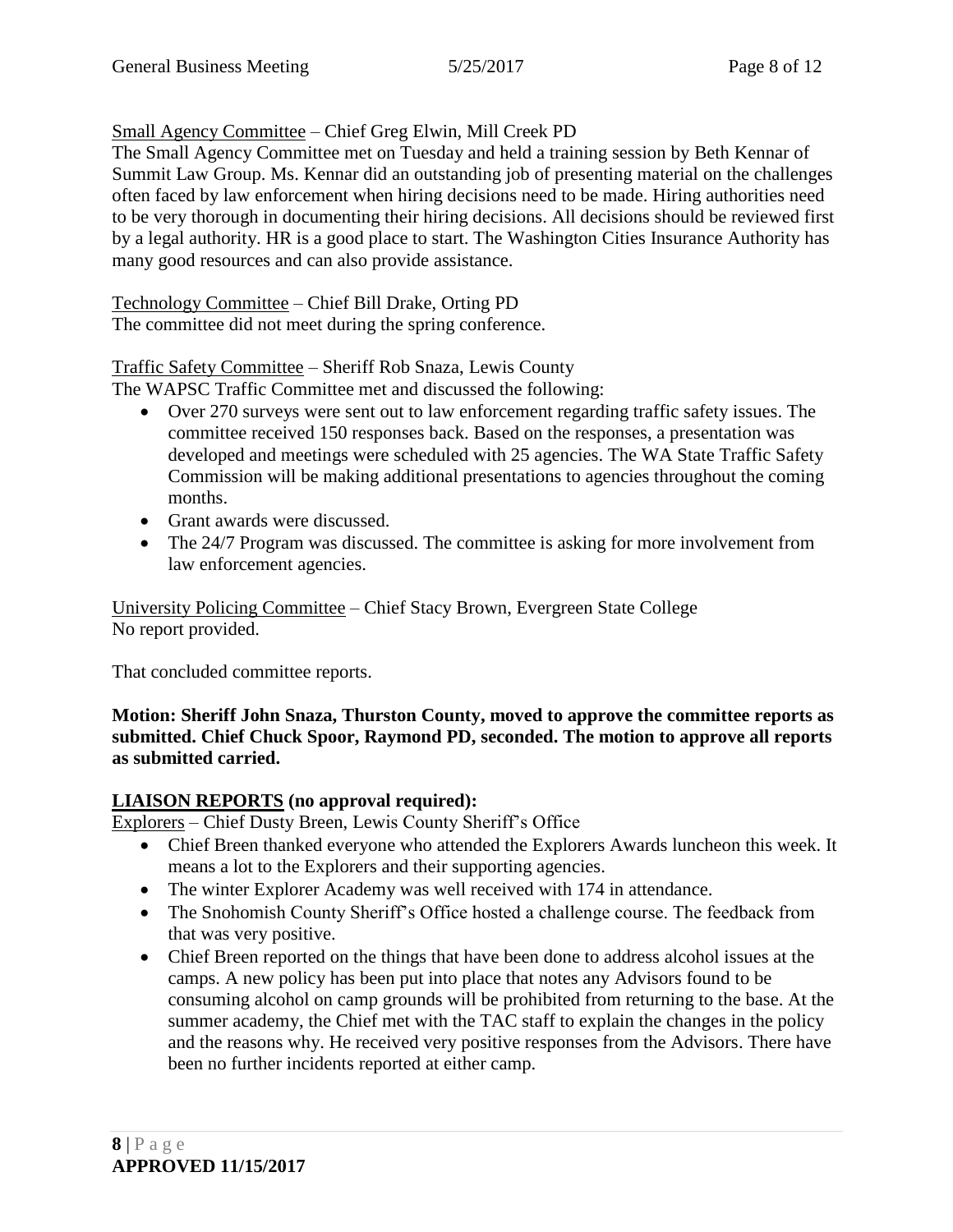# Small Agency Committee – Chief Greg Elwin, Mill Creek PD

The Small Agency Committee met on Tuesday and held a training session by Beth Kennar of Summit Law Group. Ms. Kennar did an outstanding job of presenting material on the challenges often faced by law enforcement when hiring decisions need to be made. Hiring authorities need to be very thorough in documenting their hiring decisions. All decisions should be reviewed first by a legal authority. HR is a good place to start. The Washington Cities Insurance Authority has many good resources and can also provide assistance.

Technology Committee – Chief Bill Drake, Orting PD

The committee did not meet during the spring conference.

# Traffic Safety Committee – Sheriff Rob Snaza, Lewis County

The WAPSC Traffic Committee met and discussed the following:

- Over 270 surveys were sent out to law enforcement regarding traffic safety issues. The committee received 150 responses back. Based on the responses, a presentation was developed and meetings were scheduled with 25 agencies. The WA State Traffic Safety Commission will be making additional presentations to agencies throughout the coming months.
- Grant awards were discussed.
- The 24/7 Program was discussed. The committee is asking for more involvement from law enforcement agencies.

University Policing Committee – Chief Stacy Brown, Evergreen State College No report provided.

That concluded committee reports.

**Motion: Sheriff John Snaza, Thurston County, moved to approve the committee reports as submitted. Chief Chuck Spoor, Raymond PD, seconded. The motion to approve all reports as submitted carried.**

# **LIAISON REPORTS (no approval required):**

Explorers – Chief Dusty Breen, Lewis County Sheriff's Office

- Chief Breen thanked everyone who attended the Explorers Awards luncheon this week. It means a lot to the Explorers and their supporting agencies.
- The winter Explorer Academy was well received with 174 in attendance.
- The Snohomish County Sheriff's Office hosted a challenge course. The feedback from that was very positive.
- Chief Breen reported on the things that have been done to address alcohol issues at the camps. A new policy has been put into place that notes any Advisors found to be consuming alcohol on camp grounds will be prohibited from returning to the base. At the summer academy, the Chief met with the TAC staff to explain the changes in the policy and the reasons why. He received very positive responses from the Advisors. There have been no further incidents reported at either camp.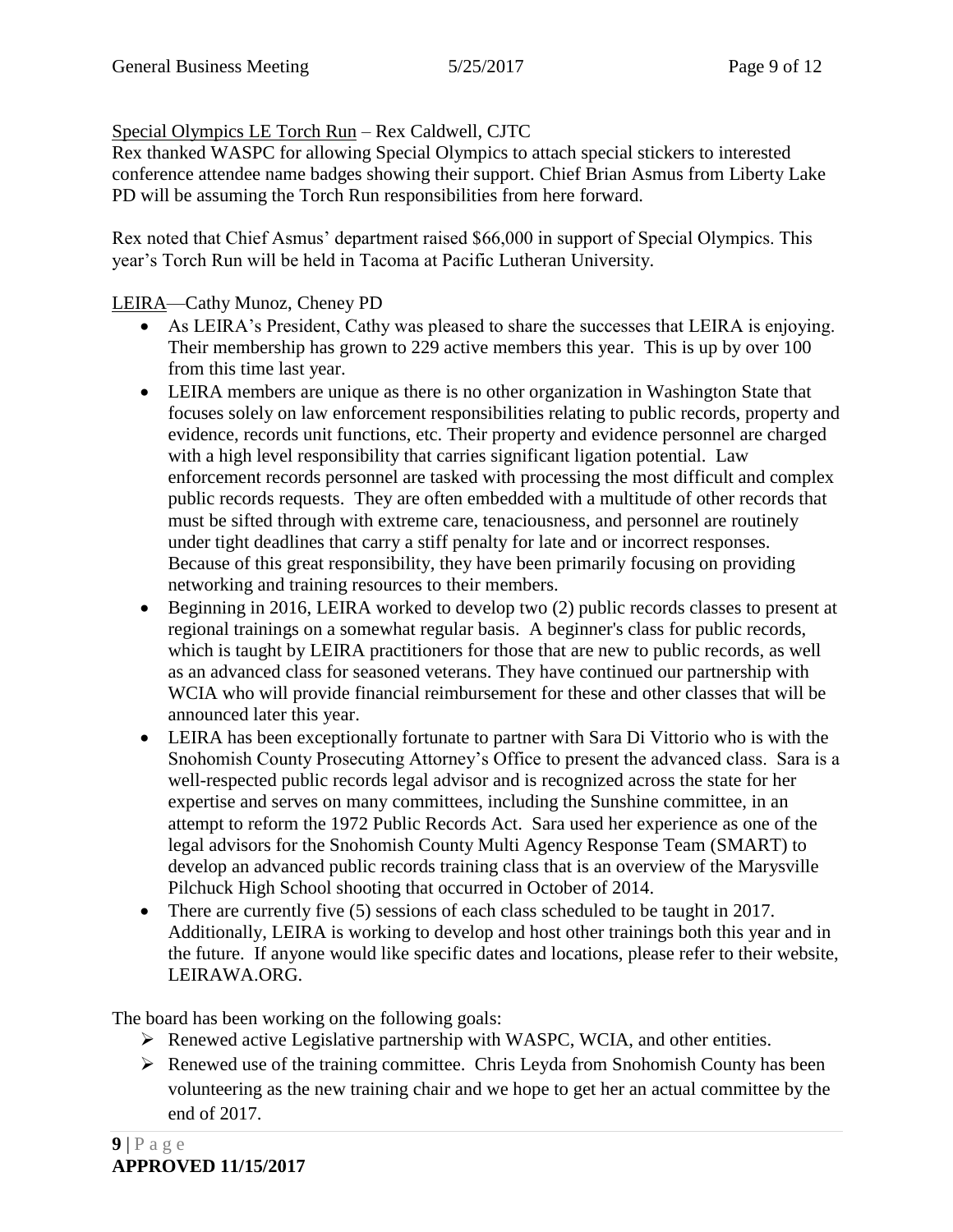### Special Olympics LE Torch Run – Rex Caldwell, CJTC

Rex thanked WASPC for allowing Special Olympics to attach special stickers to interested conference attendee name badges showing their support. Chief Brian Asmus from Liberty Lake PD will be assuming the Torch Run responsibilities from here forward.

Rex noted that Chief Asmus' department raised \$66,000 in support of Special Olympics. This year's Torch Run will be held in Tacoma at Pacific Lutheran University.

## LEIRA—Cathy Munoz, Cheney PD

- As LEIRA's President, Cathy was pleased to share the successes that LEIRA is enjoying. Their membership has grown to 229 active members this year. This is up by over 100 from this time last year.
- LEIRA members are unique as there is no other organization in Washington State that focuses solely on law enforcement responsibilities relating to public records, property and evidence, records unit functions, etc. Their property and evidence personnel are charged with a high level responsibility that carries significant ligation potential. Law enforcement records personnel are tasked with processing the most difficult and complex public records requests. They are often embedded with a multitude of other records that must be sifted through with extreme care, tenaciousness, and personnel are routinely under tight deadlines that carry a stiff penalty for late and or incorrect responses. Because of this great responsibility, they have been primarily focusing on providing networking and training resources to their members.
- Beginning in 2016, LEIRA worked to develop two (2) public records classes to present at regional trainings on a somewhat regular basis. A beginner's class for public records, which is taught by LEIRA practitioners for those that are new to public records, as well as an advanced class for seasoned veterans. They have continued our partnership with WCIA who will provide financial reimbursement for these and other classes that will be announced later this year.
- LEIRA has been exceptionally fortunate to partner with Sara Di Vittorio who is with the Snohomish County Prosecuting Attorney's Office to present the advanced class. Sara is a well-respected public records legal advisor and is recognized across the state for her expertise and serves on many committees, including the Sunshine committee, in an attempt to reform the 1972 Public Records Act. Sara used her experience as one of the legal advisors for the Snohomish County Multi Agency Response Team (SMART) to develop an advanced public records training class that is an overview of the Marysville Pilchuck High School shooting that occurred in October of 2014.
- There are currently five (5) sessions of each class scheduled to be taught in 2017. Additionally, LEIRA is working to develop and host other trainings both this year and in the future. If anyone would like specific dates and locations, please refer to their website, LEIRAWA.ORG.

The board has been working on the following goals:

- Renewed active Legislative partnership with WASPC, WCIA, and other entities.
- $\triangleright$  Renewed use of the training committee. Chris Leyda from Snohomish County has been volunteering as the new training chair and we hope to get her an actual committee by the end of 2017.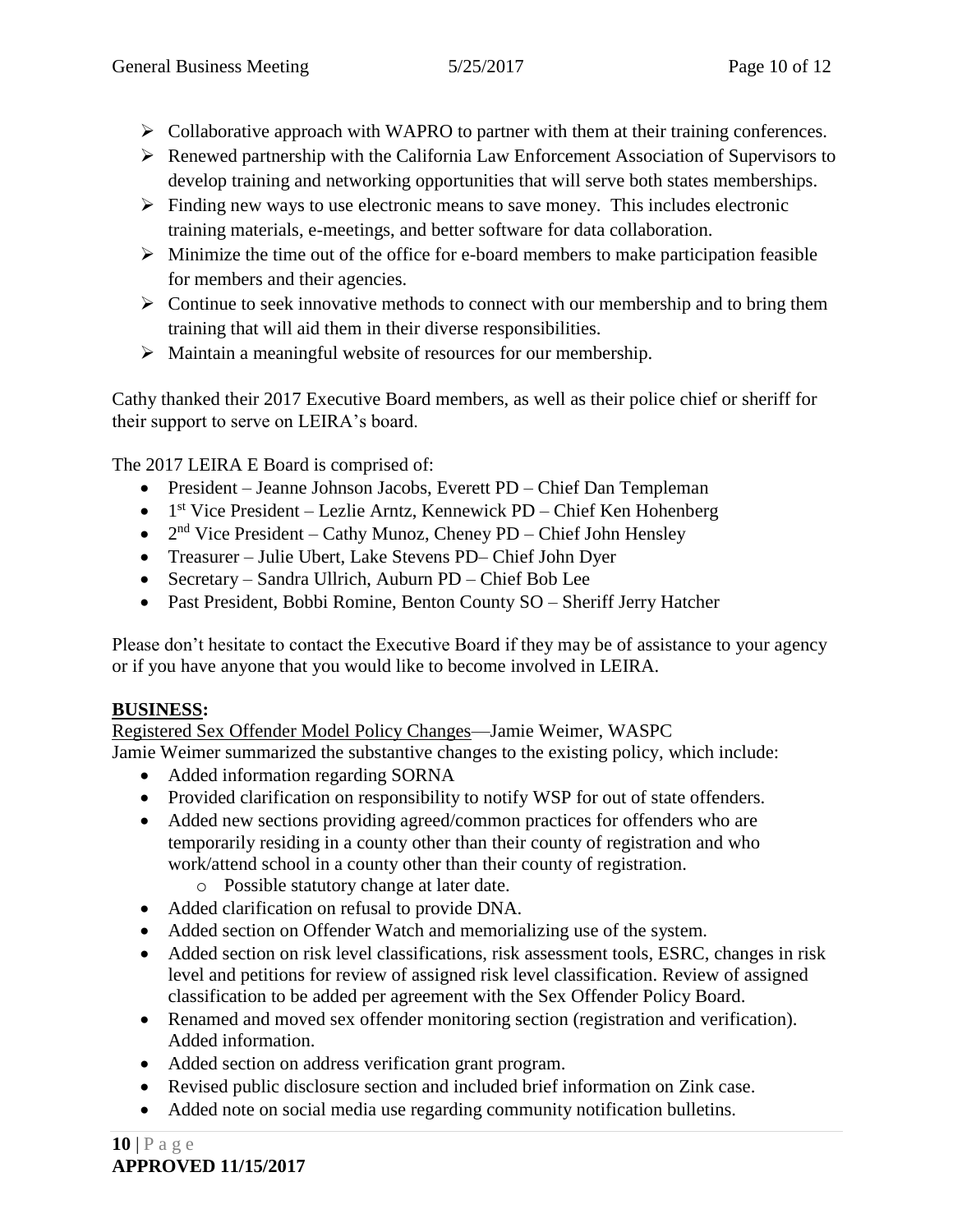- $\triangleright$  Collaborative approach with WAPRO to partner with them at their training conferences.
- Renewed partnership with the California Law Enforcement Association of Supervisors to develop training and networking opportunities that will serve both states memberships.
- $\triangleright$  Finding new ways to use electronic means to save money. This includes electronic training materials, e-meetings, and better software for data collaboration.
- $\triangleright$  Minimize the time out of the office for e-board members to make participation feasible for members and their agencies.
- $\triangleright$  Continue to seek innovative methods to connect with our membership and to bring them training that will aid them in their diverse responsibilities.
- $\triangleright$  Maintain a meaningful website of resources for our membership.

Cathy thanked their 2017 Executive Board members, as well as their police chief or sheriff for their support to serve on LEIRA's board.

The 2017 LEIRA E Board is comprised of:

- President Jeanne Johnson Jacobs, Everett PD Chief Dan Templeman
- $\bullet$  1<sup>st</sup> Vice President Lezlie Arntz, Kennewick PD Chief Ken Hohenberg
- $2<sup>nd</sup>$  Vice President Cathy Munoz, Cheney PD Chief John Hensley
- Treasurer Julie Ubert, Lake Stevens PD– Chief John Dyer
- Secretary Sandra Ullrich, Auburn PD Chief Bob Lee
- Past President, Bobbi Romine, Benton County SO Sheriff Jerry Hatcher

Please don't hesitate to contact the Executive Board if they may be of assistance to your agency or if you have anyone that you would like to become involved in LEIRA.

## **BUSINESS:**

Registered Sex Offender Model Policy Changes—Jamie Weimer, WASPC

Jamie Weimer summarized the substantive changes to the existing policy, which include:

- Added information regarding SORNA
- Provided clarification on responsibility to notify WSP for out of state offenders.
- Added new sections providing agreed/common practices for offenders who are temporarily residing in a county other than their county of registration and who work/attend school in a county other than their county of registration.
	- o Possible statutory change at later date.
- Added clarification on refusal to provide DNA.
- Added section on Offender Watch and memorializing use of the system.
- Added section on risk level classifications, risk assessment tools, ESRC, changes in risk level and petitions for review of assigned risk level classification. Review of assigned classification to be added per agreement with the Sex Offender Policy Board.
- Renamed and moved sex offender monitoring section (registration and verification). Added information.
- Added section on address verification grant program.
- Revised public disclosure section and included brief information on Zink case.
- Added note on social media use regarding community notification bulletins.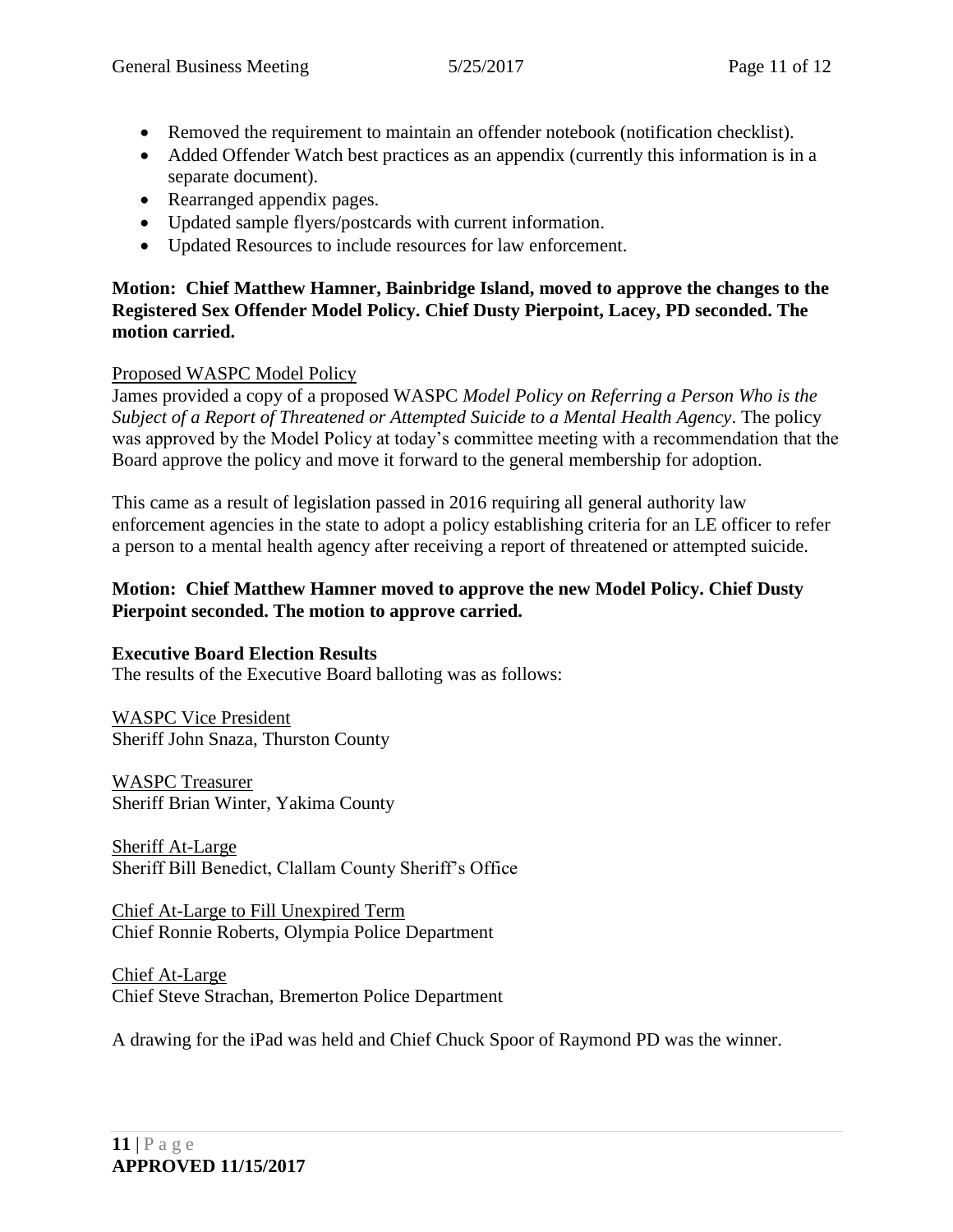- Removed the requirement to maintain an offender notebook (notification checklist).
- Added Offender Watch best practices as an appendix (currently this information is in a separate document).
- Rearranged appendix pages.
- Updated sample flyers/postcards with current information.
- Updated Resources to include resources for law enforcement.

### **Motion: Chief Matthew Hamner, Bainbridge Island, moved to approve the changes to the Registered Sex Offender Model Policy. Chief Dusty Pierpoint, Lacey, PD seconded. The motion carried.**

### Proposed WASPC Model Policy

James provided a copy of a proposed WASPC *Model Policy on Referring a Person Who is the Subject of a Report of Threatened or Attempted Suicide to a Mental Health Agency*. The policy was approved by the Model Policy at today's committee meeting with a recommendation that the Board approve the policy and move it forward to the general membership for adoption.

This came as a result of legislation passed in 2016 requiring all general authority law enforcement agencies in the state to adopt a policy establishing criteria for an LE officer to refer a person to a mental health agency after receiving a report of threatened or attempted suicide.

### **Motion: Chief Matthew Hamner moved to approve the new Model Policy. Chief Dusty Pierpoint seconded. The motion to approve carried.**

### **Executive Board Election Results**

The results of the Executive Board balloting was as follows:

WASPC Vice President Sheriff John Snaza, Thurston County

WASPC Treasurer Sheriff Brian Winter, Yakima County

Sheriff At-Large Sheriff Bill Benedict, Clallam County Sheriff's Office

Chief At-Large to Fill Unexpired Term Chief Ronnie Roberts, Olympia Police Department

Chief At-Large Chief Steve Strachan, Bremerton Police Department

A drawing for the iPad was held and Chief Chuck Spoor of Raymond PD was the winner.